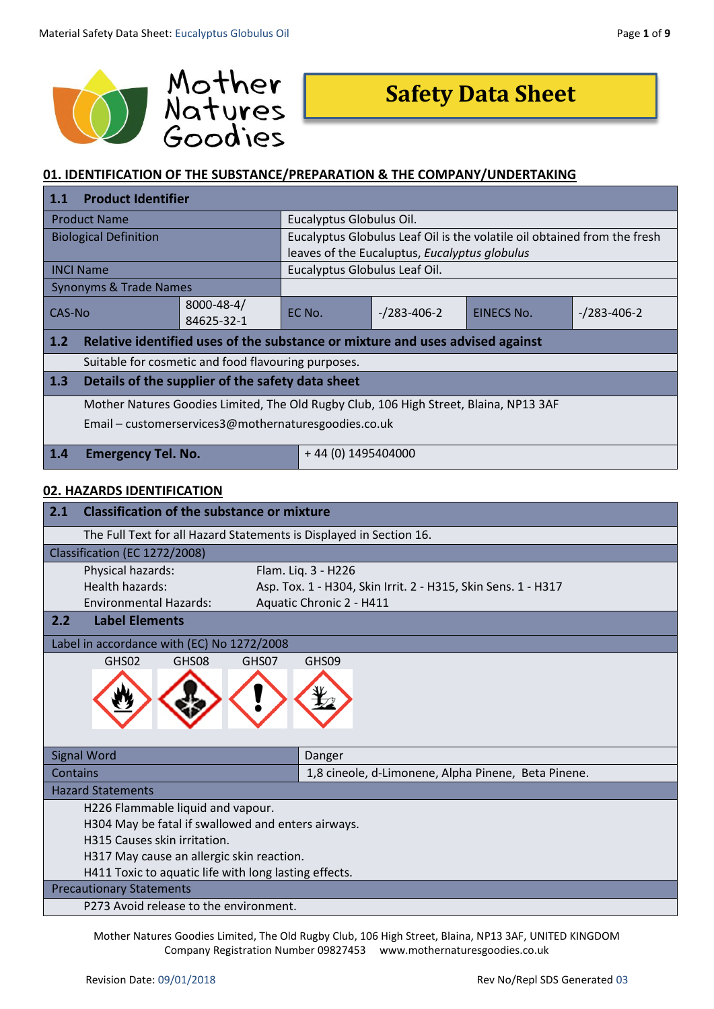

# **Safety Data Sheet**

# **01. IDENTIFICATION OF THE SUBSTANCE/PREPARATION & THE COMPANY/UNDERTAKING**

| 1.1                                                                                   | <b>Product Identifier</b>                                                     |                     |                                                                          |                |            |                     |
|---------------------------------------------------------------------------------------|-------------------------------------------------------------------------------|---------------------|--------------------------------------------------------------------------|----------------|------------|---------------------|
| <b>Product Name</b>                                                                   |                                                                               |                     | Eucalyptus Globulus Oil.                                                 |                |            |                     |
| <b>Biological Definition</b>                                                          |                                                                               |                     | Eucalyptus Globulus Leaf Oil is the volatile oil obtained from the fresh |                |            |                     |
|                                                                                       |                                                                               |                     | leaves of the Eucaluptus, Eucalyptus globulus                            |                |            |                     |
|                                                                                       | <b>INCI Name</b>                                                              |                     | Eucalyptus Globulus Leaf Oil.                                            |                |            |                     |
|                                                                                       | Synonyms & Trade Names                                                        |                     |                                                                          |                |            |                     |
| 8000-48-4/<br>CAS-No                                                                  |                                                                               |                     | EC No.                                                                   | $-$ /283-406-2 | EINECS No. | $- / 283 - 406 - 2$ |
|                                                                                       |                                                                               | 84625-32-1          |                                                                          |                |            |                     |
| 1.2                                                                                   | Relative identified uses of the substance or mixture and uses advised against |                     |                                                                          |                |            |                     |
| Suitable for cosmetic and food flavouring purposes.                                   |                                                                               |                     |                                                                          |                |            |                     |
| 1.3                                                                                   | Details of the supplier of the safety data sheet                              |                     |                                                                          |                |            |                     |
| Mother Natures Goodies Limited, The Old Rugby Club, 106 High Street, Blaina, NP13 3AF |                                                                               |                     |                                                                          |                |            |                     |
|                                                                                       | Email - customerservices3@mothernaturesgoodies.co.uk                          |                     |                                                                          |                |            |                     |
| <b>Emergency Tel. No.</b><br>1.4                                                      |                                                                               | $+44(0)$ 1495404000 |                                                                          |                |            |                     |

#### **02. HAZARDS IDENTIFICATION**

| 2.1      | <b>Classification of the substance or mixture</b>                   |                                                               |  |
|----------|---------------------------------------------------------------------|---------------------------------------------------------------|--|
|          | The Full Text for all Hazard Statements is Displayed in Section 16. |                                                               |  |
|          | Classification (EC 1272/2008)                                       |                                                               |  |
|          | Physical hazards:                                                   | Flam. Liq. 3 - H226                                           |  |
|          | Health hazards:                                                     | Asp. Tox. 1 - H304, Skin Irrit. 2 - H315, Skin Sens. 1 - H317 |  |
|          | <b>Environmental Hazards:</b>                                       | Aquatic Chronic 2 - H411                                      |  |
| 2.2      | <b>Label Elements</b>                                               |                                                               |  |
|          | Label in accordance with (EC) No 1272/2008                          |                                                               |  |
|          | GHS02<br>GHS08<br>GHS07                                             | GHS09                                                         |  |
|          |                                                                     |                                                               |  |
|          | <b>Signal Word</b>                                                  | Danger                                                        |  |
| Contains |                                                                     | 1,8 cineole, d-Limonene, Alpha Pinene, Beta Pinene.           |  |
|          | <b>Hazard Statements</b>                                            |                                                               |  |
|          | H226 Flammable liquid and vapour.                                   |                                                               |  |
|          | H304 May be fatal if swallowed and enters airways.                  |                                                               |  |
|          | H315 Causes skin irritation.                                        |                                                               |  |
|          | H317 May cause an allergic skin reaction.                           |                                                               |  |
|          | H411 Toxic to aquatic life with long lasting effects.               |                                                               |  |
|          | <b>Precautionary Statements</b>                                     |                                                               |  |
|          | P273 Avoid release to the environment.                              |                                                               |  |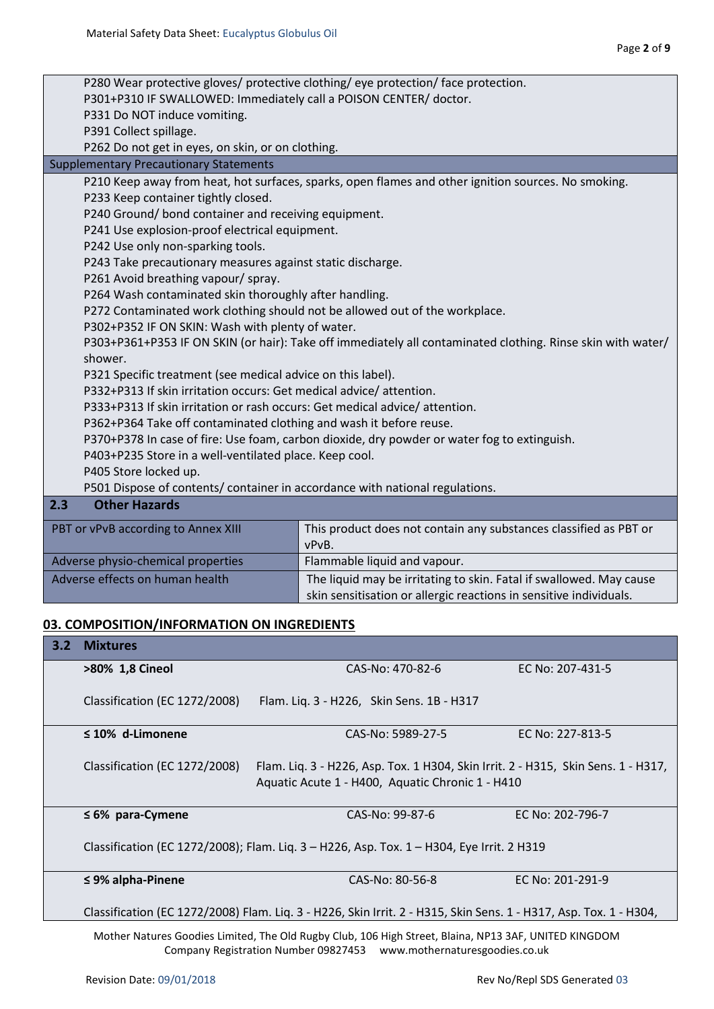#### **03. COMPOSITION/INFORMATION ON INGREDIENTS**

| 3.2 | <b>Mixtures</b>                                                                                                                                                              |                                                                                                                                       |                  |
|-----|------------------------------------------------------------------------------------------------------------------------------------------------------------------------------|---------------------------------------------------------------------------------------------------------------------------------------|------------------|
|     | >80% 1,8 Cineol                                                                                                                                                              | CAS-No: 470-82-6                                                                                                                      | EC No: 207-431-5 |
|     | Classification (EC 1272/2008)                                                                                                                                                | Flam. Liq. 3 - H226, Skin Sens. 1B - H317                                                                                             |                  |
|     | $\leq$ 10% d-Limonene                                                                                                                                                        | CAS-No: 5989-27-5                                                                                                                     | EC No: 227-813-5 |
|     | Classification (EC 1272/2008)                                                                                                                                                | Flam. Lig. 3 - H226, Asp. Tox. 1 H304, Skin Irrit. 2 - H315, Skin Sens. 1 - H317,<br>Aquatic Acute 1 - H400, Aquatic Chronic 1 - H410 |                  |
|     | $\leq 6\%$ para-Cymene                                                                                                                                                       | CAS-No: 99-87-6                                                                                                                       | EC No: 202-796-7 |
|     |                                                                                                                                                                              | Classification (EC 1272/2008); Flam. Liq. 3 - H226, Asp. Tox. 1 - H304, Eye Irrit. 2 H319                                             |                  |
|     | $\leq$ 9% alpha-Pinene                                                                                                                                                       | CAS-No: 80-56-8                                                                                                                       | EC No: 201-291-9 |
|     |                                                                                                                                                                              | Classification (EC 1272/2008) Flam. Liq. 3 - H226, Skin Irrit. 2 - H315, Skin Sens. 1 - H317, Asp. Tox. 1 - H304,                     |                  |
|     | Mother Natures Goodies Limited, The Old Rugby Club, 106 High Street, Blaina, NP13 3AF, UNITED KINGDOM<br>Company Registration Number 09827453 www.mothernaturesgoodies.co.uk |                                                                                                                                       |                  |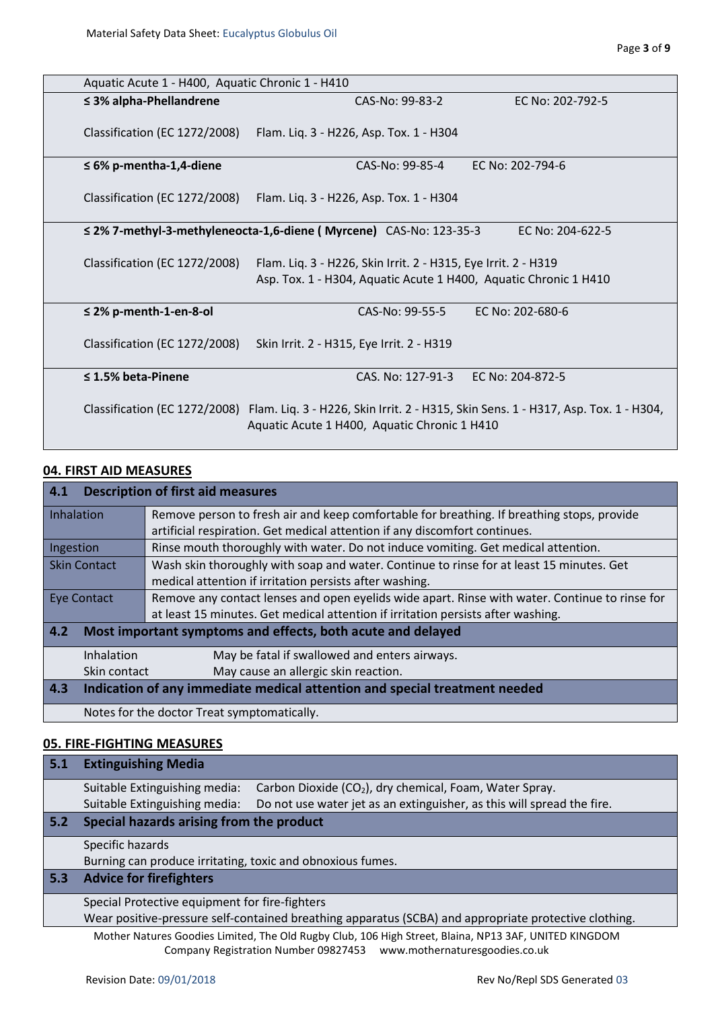|                               | Aquatic Acute 1 - H400, Aquatic Chronic 1 - H410                                                                                   |                                                                                     |  |
|-------------------------------|------------------------------------------------------------------------------------------------------------------------------------|-------------------------------------------------------------------------------------|--|
| $\leq$ 3% alpha-Phellandrene  | CAS-No: 99-83-2                                                                                                                    | EC No: 202-792-5                                                                    |  |
| Classification (EC 1272/2008) | Flam. Liq. 3 - H226, Asp. Tox. 1 - H304                                                                                            |                                                                                     |  |
| $\leq 6\%$ p-mentha-1,4-diene | CAS-No: 99-85-4                                                                                                                    | EC No: 202-794-6                                                                    |  |
| Classification (EC 1272/2008) | Flam. Lig. 3 - H226, Asp. Tox. 1 - H304                                                                                            |                                                                                     |  |
|                               | ≤ 2% 7-methyl-3-methyleneocta-1,6-diene (Myrcene) CAS-No: 123-35-3                                                                 | EC No: 204-622-5                                                                    |  |
| Classification (EC 1272/2008) | Flam. Liq. 3 - H226, Skin Irrit. 2 - H315, Eye Irrit. 2 - H319<br>Asp. Tox. 1 - H304, Aquatic Acute 1 H400, Aquatic Chronic 1 H410 |                                                                                     |  |
| $\leq$ 2% p-menth-1-en-8-ol   | CAS-No: 99-55-5                                                                                                                    | EC No: 202-680-6                                                                    |  |
| Classification (EC 1272/2008) | Skin Irrit. 2 - H315, Eye Irrit. 2 - H319                                                                                          |                                                                                     |  |
| $\leq$ 1.5% beta-Pinene       | CAS. No: 127-91-3                                                                                                                  | EC No: 204-872-5                                                                    |  |
| Classification (EC 1272/2008) | Aquatic Acute 1 H400, Aquatic Chronic 1 H410                                                                                       | Flam. Lig. 3 - H226, Skin Irrit. 2 - H315, Skin Sens. 1 - H317, Asp. Tox. 1 - H304, |  |

# **04. FIRST AID MEASURES**

| 4.1 <br><b>Description of first aid measures</b>                                               |                                                                                                |  |  |
|------------------------------------------------------------------------------------------------|------------------------------------------------------------------------------------------------|--|--|
| Inhalation                                                                                     | Remove person to fresh air and keep comfortable for breathing. If breathing stops, provide     |  |  |
|                                                                                                | artificial respiration. Get medical attention if any discomfort continues.                     |  |  |
| Rinse mouth thoroughly with water. Do not induce vomiting. Get medical attention.<br>Ingestion |                                                                                                |  |  |
| <b>Skin Contact</b>                                                                            | Wash skin thoroughly with soap and water. Continue to rinse for at least 15 minutes. Get       |  |  |
|                                                                                                | medical attention if irritation persists after washing.                                        |  |  |
| <b>Eye Contact</b>                                                                             | Remove any contact lenses and open eyelids wide apart. Rinse with water. Continue to rinse for |  |  |
|                                                                                                | at least 15 minutes. Get medical attention if irritation persists after washing.               |  |  |
| 4.2<br>Most important symptoms and effects, both acute and delayed                             |                                                                                                |  |  |
| Inhalation                                                                                     | May be fatal if swallowed and enters airways.                                                  |  |  |
| Skin contact                                                                                   | May cause an allergic skin reaction.                                                           |  |  |
| 4.3                                                                                            | Indication of any immediate medical attention and special treatment needed                     |  |  |
|                                                                                                | Notes for the doctor Treat symptomatically.                                                    |  |  |

#### **05. FIRE-FIGHTING MEASURES**

| 5.1 | <b>Extinguishing Media</b>                                                                              |  |  |
|-----|---------------------------------------------------------------------------------------------------------|--|--|
|     | Suitable Extinguishing media:<br>Carbon Dioxide (CO <sub>2</sub> ), dry chemical, Foam, Water Spray.    |  |  |
|     | Suitable Extinguishing media:<br>Do not use water jet as an extinguisher, as this will spread the fire. |  |  |
| 5.2 | Special hazards arising from the product                                                                |  |  |
|     | Specific hazards                                                                                        |  |  |
|     | Burning can produce irritating, toxic and obnoxious fumes.                                              |  |  |
| 5.3 | <b>Advice for firefighters</b>                                                                          |  |  |
|     | Special Protective equipment for fire-fighters                                                          |  |  |
|     | Wear positive-pressure self-contained breathing apparatus (SCBA) and appropriate protective clothing.   |  |  |
|     | Mother Natures Goodies Limited, The Old Rugby Club, 106 High Street, Blaina, NP13 3AF, UNITED KINGDOM   |  |  |
|     | Company Registration Number 09827453<br>www.mothernaturesgoodies.co.uk                                  |  |  |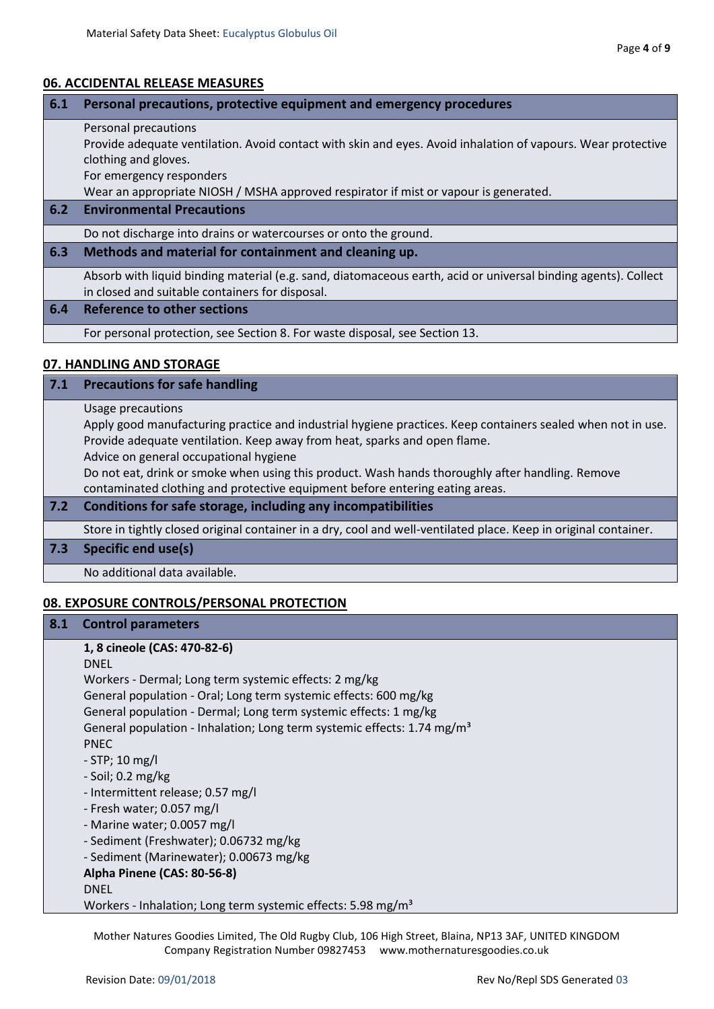# **06. ACCIDENTAL RELEASE MEASURES**

| 6.1 | Personal precautions, protective equipment and emergency procedures                                                                                               |  |  |
|-----|-------------------------------------------------------------------------------------------------------------------------------------------------------------------|--|--|
|     | Personal precautions                                                                                                                                              |  |  |
|     | Provide adequate ventilation. Avoid contact with skin and eyes. Avoid inhalation of vapours. Wear protective                                                      |  |  |
|     | clothing and gloves.                                                                                                                                              |  |  |
|     | For emergency responders                                                                                                                                          |  |  |
|     | Wear an appropriate NIOSH / MSHA approved respirator if mist or vapour is generated.                                                                              |  |  |
| 6.2 | <b>Environmental Precautions</b>                                                                                                                                  |  |  |
|     | Do not discharge into drains or watercourses or onto the ground.                                                                                                  |  |  |
| 6.3 | Methods and material for containment and cleaning up.                                                                                                             |  |  |
|     | Absorb with liquid binding material (e.g. sand, diatomaceous earth, acid or universal binding agents). Collect<br>in closed and suitable containers for disposal. |  |  |
| 6.4 | Reference to other sections                                                                                                                                       |  |  |
|     | For personal protection, see Section 8. For waste disposal, see Section 13.                                                                                       |  |  |
|     | 07. HANDLING AND STORAGE                                                                                                                                          |  |  |

| 7.1 | <b>Precautions for safe handling</b>                                                                             |  |
|-----|------------------------------------------------------------------------------------------------------------------|--|
|     | Usage precautions                                                                                                |  |
|     | Apply good manufacturing practice and industrial hygiene practices. Keep containers sealed when not in use.      |  |
|     | Provide adequate ventilation. Keep away from heat, sparks and open flame.                                        |  |
|     | Advice on general occupational hygiene                                                                           |  |
|     | Do not eat, drink or smoke when using this product. Wash hands thoroughly after handling. Remove                 |  |
|     | contaminated clothing and protective equipment before entering eating areas.                                     |  |
| 7.2 | Conditions for safe storage, including any incompatibilities                                                     |  |
|     | Store in tightly closed original container in a dry, cool and well-ventilated place. Keep in original container. |  |
| 7.3 | Specific end use(s)                                                                                              |  |
|     | No additional data available.                                                                                    |  |

# **08. EXPOSURE CONTROLS/PERSONAL PROTECTION**

| 8.1 | <b>Control parameters</b>                                                           |
|-----|-------------------------------------------------------------------------------------|
|     | 1, 8 cineole (CAS: 470-82-6)                                                        |
|     | <b>DNEL</b>                                                                         |
|     | Workers - Dermal; Long term systemic effects: 2 mg/kg                               |
|     | General population - Oral; Long term systemic effects: 600 mg/kg                    |
|     | General population - Dermal; Long term systemic effects: 1 mg/kg                    |
|     | General population - Inhalation; Long term systemic effects: 1.74 mg/m <sup>3</sup> |
|     | <b>PNEC</b>                                                                         |
|     | $-$ STP; 10 mg/l                                                                    |
|     | $-$ Soil; 0.2 mg/kg                                                                 |
|     | - Intermittent release; 0.57 mg/l                                                   |
|     | - Fresh water; 0.057 mg/l                                                           |
|     | - Marine water; 0.0057 mg/l                                                         |
|     | - Sediment (Freshwater); 0.06732 mg/kg                                              |
|     | - Sediment (Marinewater); 0.00673 mg/kg                                             |
|     | Alpha Pinene (CAS: 80-56-8)                                                         |
|     | <b>DNEL</b>                                                                         |
|     | Workers - Inhalation; Long term systemic effects: 5.98 mg/m <sup>3</sup>            |

Company Registration Number 09827453 www.mothernaturesgoodies.co.uk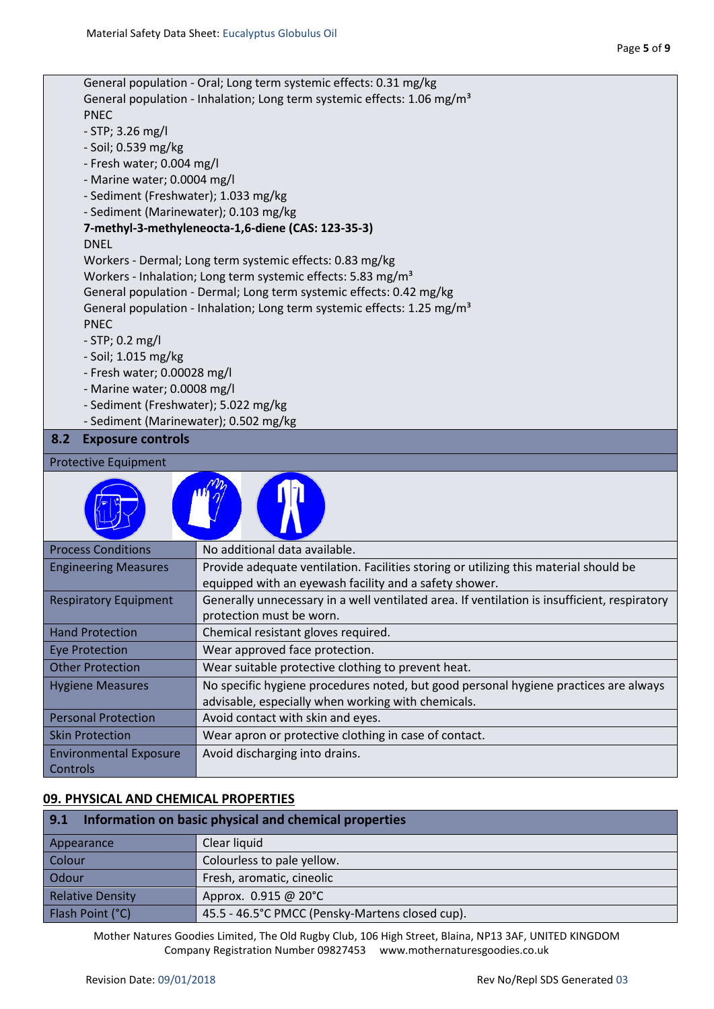|                                                                               | General population - Oral; Long term systemic effects: 0.31 mg/kg                                                                               |  |  |
|-------------------------------------------------------------------------------|-------------------------------------------------------------------------------------------------------------------------------------------------|--|--|
|                                                                               | General population - Inhalation; Long term systemic effects: 1.06 mg/m <sup>3</sup>                                                             |  |  |
| <b>PNEC</b>                                                                   |                                                                                                                                                 |  |  |
| $-$ STP; 3.26 mg/l                                                            |                                                                                                                                                 |  |  |
| - Soil; 0.539 mg/kg                                                           |                                                                                                                                                 |  |  |
| - Fresh water; 0.004 mg/l                                                     |                                                                                                                                                 |  |  |
| - Marine water; 0.0004 mg/l                                                   |                                                                                                                                                 |  |  |
| - Sediment (Freshwater); 1.033 mg/kg<br>- Sediment (Marinewater); 0.103 mg/kg |                                                                                                                                                 |  |  |
|                                                                               | 7-methyl-3-methyleneocta-1,6-diene (CAS: 123-35-3)                                                                                              |  |  |
| <b>DNEL</b>                                                                   |                                                                                                                                                 |  |  |
|                                                                               | Workers - Dermal; Long term systemic effects: 0.83 mg/kg                                                                                        |  |  |
|                                                                               | Workers - Inhalation; Long term systemic effects: 5.83 mg/m <sup>3</sup>                                                                        |  |  |
|                                                                               | General population - Dermal; Long term systemic effects: 0.42 mg/kg                                                                             |  |  |
|                                                                               | General population - Inhalation; Long term systemic effects: 1.25 mg/m <sup>3</sup>                                                             |  |  |
| <b>PNEC</b>                                                                   |                                                                                                                                                 |  |  |
| $-$ STP; 0.2 mg/l                                                             |                                                                                                                                                 |  |  |
| - Soil; 1.015 mg/kg                                                           |                                                                                                                                                 |  |  |
| - Fresh water; 0.00028 mg/l                                                   |                                                                                                                                                 |  |  |
| - Marine water; 0.0008 mg/l                                                   |                                                                                                                                                 |  |  |
| - Sediment (Freshwater); 5.022 mg/kg                                          |                                                                                                                                                 |  |  |
| - Sediment (Marinewater); 0.502 mg/kg                                         |                                                                                                                                                 |  |  |
| <b>Exposure controls</b><br>8.2                                               |                                                                                                                                                 |  |  |
| <b>Protective Equipment</b>                                                   |                                                                                                                                                 |  |  |
|                                                                               |                                                                                                                                                 |  |  |
| <b>Process Conditions</b>                                                     | No additional data available.                                                                                                                   |  |  |
| <b>Engineering Measures</b>                                                   | Provide adequate ventilation. Facilities storing or utilizing this material should be<br>equipped with an eyewash facility and a safety shower. |  |  |
| <b>Respiratory Equipment</b>                                                  | Generally unnecessary in a well ventilated area. If ventilation is insufficient, respiratory<br>protection must be worn.                        |  |  |
| <b>Hand Protection</b>                                                        | Chemical resistant gloves required.                                                                                                             |  |  |
| <b>Eye Protection</b>                                                         | Wear approved face protection.                                                                                                                  |  |  |
| <b>Other Protection</b>                                                       | Wear suitable protective clothing to prevent heat.                                                                                              |  |  |
| <b>Hygiene Measures</b>                                                       | No specific hygiene procedures noted, but good personal hygiene practices are always                                                            |  |  |
|                                                                               | advisable, especially when working with chemicals.                                                                                              |  |  |
| <b>Personal Protection</b>                                                    | Avoid contact with skin and eyes.                                                                                                               |  |  |
| <b>Skin Protection</b>                                                        | Wear apron or protective clothing in case of contact.                                                                                           |  |  |
| <b>Environmental Exposure</b><br>Controls                                     | Avoid discharging into drains.                                                                                                                  |  |  |
|                                                                               |                                                                                                                                                 |  |  |

# **09. PHYSICAL AND CHEMICAL PROPERTIES**

| 9.1<br>Information on basic physical and chemical properties |                                                 |  |
|--------------------------------------------------------------|-------------------------------------------------|--|
| Appearance                                                   | Clear liquid                                    |  |
| Colour                                                       | Colourless to pale yellow.                      |  |
| Odour                                                        | Fresh, aromatic, cineolic                       |  |
| <b>Relative Density</b>                                      | Approx. 0.915 @ 20°C                            |  |
| Flash Point (°C)                                             | 45.5 - 46.5°C PMCC (Pensky-Martens closed cup). |  |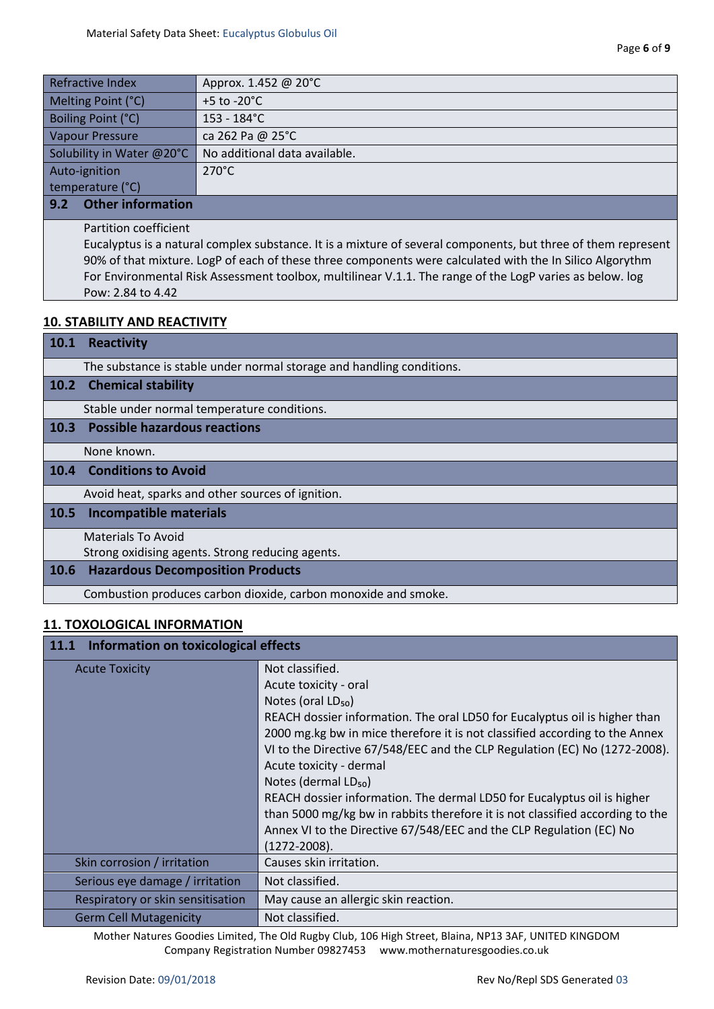| <b>Refractive Index</b>         | Approx. 1.452 @ 20°C          |
|---------------------------------|-------------------------------|
| Melting Point (°C)              | $+5$ to -20 $^{\circ}$ C      |
| Boiling Point (°C)              | $153 - 184$ °C                |
| <b>Vapour Pressure</b>          | ca 262 Pa @ 25°C              |
| Solubility in Water @20°C       | No additional data available. |
| Auto-ignition                   | $270^{\circ}$ C               |
| temperature (°C)                |                               |
| <b>Other information</b><br>9.2 |                               |

Partition coefficient

Eucalyptus is a natural complex substance. It is a mixture of several components, but three of them represent 90% of that mixture. LogP of each of these three components were calculated with the In Silico Algorythm For Environmental Risk Assessment toolbox, multilinear V.1.1. The range of the LogP varies as below. log Pow: 2.84 to 4.42

#### **10. STABILITY AND REACTIVITY**

| <b>10.1</b>       | <b>Reactivity</b>                                                     |
|-------------------|-----------------------------------------------------------------------|
|                   | The substance is stable under normal storage and handling conditions. |
| 10.2 <sub>1</sub> | <b>Chemical stability</b>                                             |
|                   | Stable under normal temperature conditions.                           |
| 10.3              | <b>Possible hazardous reactions</b>                                   |
|                   | None known.                                                           |
| 10.4              | <b>Conditions to Avoid</b>                                            |
|                   | Avoid heat, sparks and other sources of ignition.                     |
| 10.5              | <b>Incompatible materials</b>                                         |
|                   | Materials To Avoid                                                    |
|                   | Strong oxidising agents. Strong reducing agents.                      |
| 10.6              | <b>Hazardous Decomposition Products</b>                               |
|                   | Combustion produces carbon dioxide, carbon monoxide and smoke.        |

# **11. TOXOLOGICAL INFORMATION**

| 11.1 Information on toxicological effects |                                                                               |  |
|-------------------------------------------|-------------------------------------------------------------------------------|--|
| <b>Acute Toxicity</b>                     | Not classified.                                                               |  |
|                                           | Acute toxicity - oral                                                         |  |
|                                           | Notes (oral LD <sub>50</sub> )                                                |  |
|                                           | REACH dossier information. The oral LD50 for Eucalyptus oil is higher than    |  |
|                                           | 2000 mg.kg bw in mice therefore it is not classified according to the Annex   |  |
|                                           | VI to the Directive 67/548/EEC and the CLP Regulation (EC) No (1272-2008).    |  |
|                                           | Acute toxicity - dermal                                                       |  |
|                                           | Notes (dermal LD <sub>50</sub> )                                              |  |
|                                           | REACH dossier information. The dermal LD50 for Eucalyptus oil is higher       |  |
|                                           | than 5000 mg/kg bw in rabbits therefore it is not classified according to the |  |
|                                           | Annex VI to the Directive 67/548/EEC and the CLP Regulation (EC) No           |  |
|                                           | $(1272 - 2008).$                                                              |  |
| Skin corrosion / irritation               | Causes skin irritation.                                                       |  |
| Serious eye damage / irritation           | Not classified.                                                               |  |
| Respiratory or skin sensitisation         | May cause an allergic skin reaction.                                          |  |
| <b>Germ Cell Mutagenicity</b>             | Not classified.                                                               |  |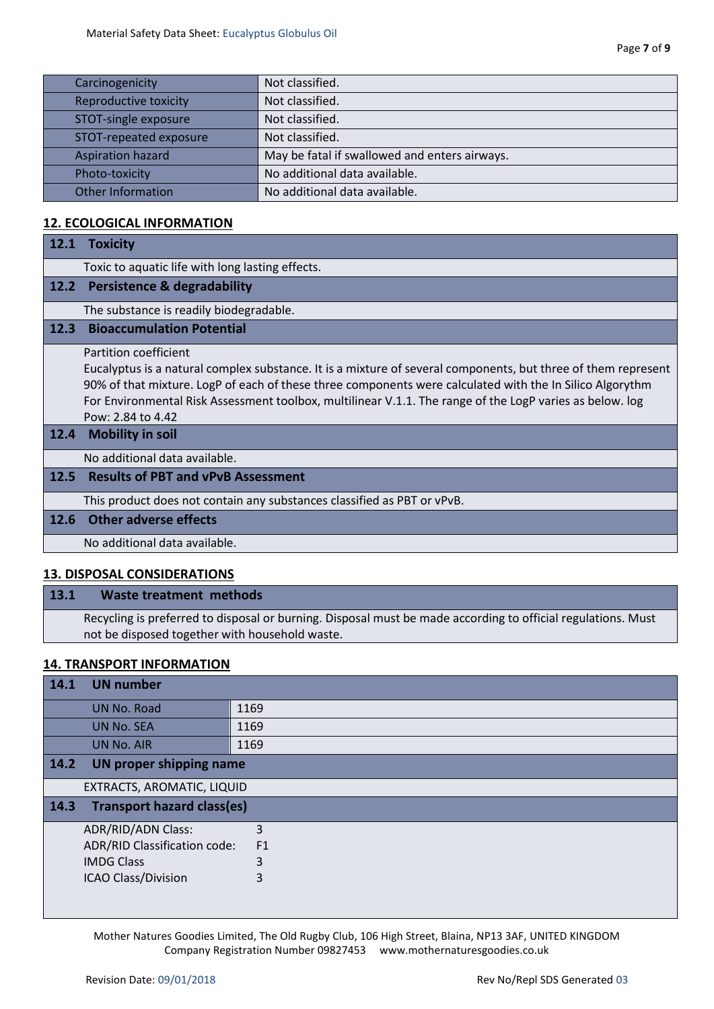| Carcinogenicity          | Not classified.                               |
|--------------------------|-----------------------------------------------|
| Reproductive toxicity    | Not classified.                               |
| STOT-single exposure     | Not classified.                               |
| STOT-repeated exposure   | Not classified.                               |
| <b>Aspiration hazard</b> | May be fatal if swallowed and enters airways. |
| Photo-toxicity           | No additional data available.                 |
| <b>Other Information</b> | No additional data available.                 |

#### **12. ECOLOGICAL INFORMATION**

| 12.1 | <b>Toxicity</b>                                                                                                                                                                                                                                                                                                                                                                     |
|------|-------------------------------------------------------------------------------------------------------------------------------------------------------------------------------------------------------------------------------------------------------------------------------------------------------------------------------------------------------------------------------------|
|      | Toxic to aquatic life with long lasting effects.                                                                                                                                                                                                                                                                                                                                    |
| 12.2 | Persistence & degradability                                                                                                                                                                                                                                                                                                                                                         |
|      | The substance is readily biodegradable.                                                                                                                                                                                                                                                                                                                                             |
| 12.3 | <b>Bioaccumulation Potential</b>                                                                                                                                                                                                                                                                                                                                                    |
|      | Partition coefficient<br>Eucalyptus is a natural complex substance. It is a mixture of several components, but three of them represent<br>90% of that mixture. LogP of each of these three components were calculated with the In Silico Algorythm<br>For Environmental Risk Assessment toolbox, multilinear V.1.1. The range of the LogP varies as below. log<br>Pow: 2.84 to 4.42 |
| 12.4 | <b>Mobility in soil</b>                                                                                                                                                                                                                                                                                                                                                             |
|      | No additional data available.                                                                                                                                                                                                                                                                                                                                                       |
| 12.5 | <b>Results of PBT and vPvB Assessment</b>                                                                                                                                                                                                                                                                                                                                           |
|      | This product does not contain any substances classified as PBT or vPvB.                                                                                                                                                                                                                                                                                                             |
| 12.6 | <b>Other adverse effects</b>                                                                                                                                                                                                                                                                                                                                                        |
|      | No additional data available.                                                                                                                                                                                                                                                                                                                                                       |
|      |                                                                                                                                                                                                                                                                                                                                                                                     |

# **13. DISPOSAL CONSIDERATIONS**

# **13.1 Waste treatment methods**

Recycling is preferred to disposal or burning. Disposal must be made according to official regulations. Must not be disposed together with household waste.

#### **14. TRANSPORT INFORMATION**

| 14.1   | <b>UN number</b>                  |                |
|--------|-----------------------------------|----------------|
|        | UN No. Road                       | 1169           |
|        | <b>UN No. SEA</b>                 | 1169           |
|        | UN No. AIR                        | 1169           |
| $14.2$ | <b>UN proper shipping name</b>    |                |
|        | EXTRACTS, AROMATIC, LIQUID        |                |
| $14.3$ | <b>Transport hazard class(es)</b> |                |
|        | <b>ADR/RID/ADN Class:</b>         | 3              |
|        | ADR/RID Classification code:      | F <sub>1</sub> |
|        | <b>IMDG Class</b>                 | 3              |
|        | <b>ICAO Class/Division</b>        | 3              |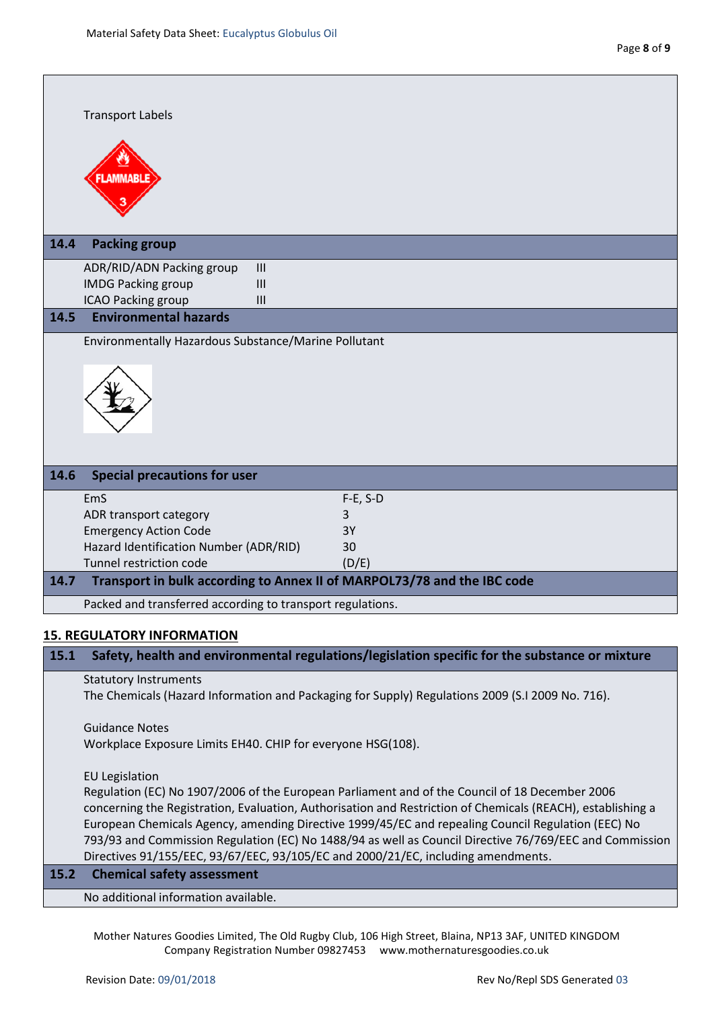|      | <b>Transport Labels</b>                                                 |            |  |  |
|------|-------------------------------------------------------------------------|------------|--|--|
|      | <b>LAMMABLE</b>                                                         |            |  |  |
| 14.4 | <b>Packing group</b>                                                    |            |  |  |
|      | ADR/RID/ADN Packing group<br>III                                        |            |  |  |
|      | <b>IMDG Packing group</b><br>III                                        |            |  |  |
|      | <b>ICAO Packing group</b><br>III                                        |            |  |  |
| 14.5 | <b>Environmental hazards</b>                                            |            |  |  |
|      | Environmentally Hazardous Substance/Marine Pollutant                    |            |  |  |
|      |                                                                         |            |  |  |
| 14.6 | <b>Special precautions for user</b>                                     |            |  |  |
|      | EmS                                                                     | $F-E, S-D$ |  |  |
|      | ADR transport category                                                  | 3          |  |  |
|      | <b>Emergency Action Code</b>                                            | 3Y         |  |  |
|      | Hazard Identification Number (ADR/RID)                                  | 30         |  |  |
|      | Tunnel restriction code                                                 | (D/E)      |  |  |
| 14.7 | Transport in bulk according to Annex II of MARPOL73/78 and the IBC code |            |  |  |
|      | Packed and transferred according to transport regulations.              |            |  |  |
|      | <b>15. REGULATORY INFORMATION</b>                                       |            |  |  |

# **15.1 Safety, health and environmental regulations/legislation specific for the substance or mixture**

Statutory Instruments

The Chemicals (Hazard Information and Packaging for Supply) Regulations 2009 (S.I 2009 No. 716).

Guidance Notes Workplace Exposure Limits EH40. CHIP for everyone HSG(108).

EU Legislation

Regulation (EC) No 1907/2006 of the European Parliament and of the Council of 18 December 2006 concerning the Registration, Evaluation, Authorisation and Restriction of Chemicals (REACH), establishing a European Chemicals Agency, amending Directive 1999/45/EC and repealing Council Regulation (EEC) No 793/93 and Commission Regulation (EC) No 1488/94 as well as Council Directive 76/769/EEC and Commission Directives 91/155/EEC, 93/67/EEC, 93/105/EC and 2000/21/EC, including amendments.

#### **15.2 Chemical safety assessment**

No additional information available.